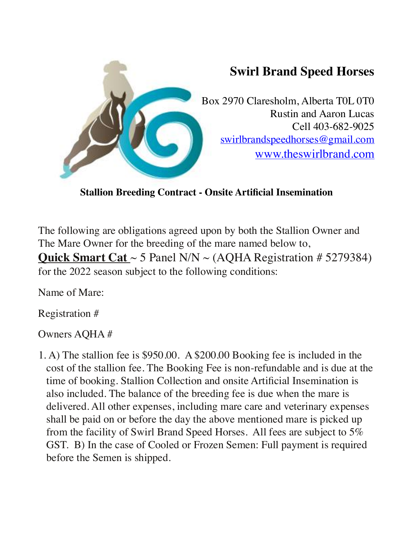

**Stallion Breeding Contract - Onsite Artificial Insemination** 

The following are obligations agreed upon by both the Stallion Owner and The Mare Owner for the breeding of the mare named below to, **Quick Smart Cat** ~ 5 Panel N/N ~ (AQHA Registration # 5279384) for the 2022 season subject to the following conditions:

Name of Mare:

Registration #

## Owners AQHA #

1. A) The stallion fee is \$950.00. A \$200.00 Booking fee is included in the cost of the stallion fee. The Booking Fee is non-refundable and is due at the time of booking. Stallion Collection and onsite Artificial Insemination is also included. The balance of the breeding fee is due when the mare is delivered. All other expenses, including mare care and veterinary expenses shall be paid on or before the day the above mentioned mare is picked up from the facility of Swirl Brand Speed Horses. All fees are subject to 5% GST. B) In the case of Cooled or Frozen Semen: Full payment is required before the Semen is shipped.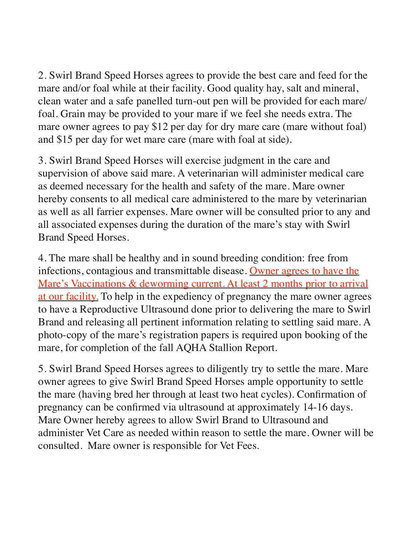2. Swirl Brand Speed Horses agrees to provide the best care and feed for the mare and/or foal while at their facility. Good quality hay, salt and mineral, clean water and a safe panelled turn-out pen will be provided for each mare/ foal. Grain may be provided to your mare if we feel she needs extra. The mare owner agrees to pay \$12 per day for dry mare care (mare without foal) and \$15 per day for wet mare care (mare with foal at side).

3. Swirl Brand Speed Horses will exercise judgment in the care and supervision of above said mare. A veterinarian will administer medical care as deemed necessary for the health and safety of the mare. Mare owner hereby consents to all medical care administered to the mare by veterinarian as well as all farrier expenses. Mare owner will be consulted prior to any and all associated expenses during the duration of the mare's stay with Swirl Brand Speed Horses.

4. The mare shall be healthy and in sound breeding condition: free from infections, contagious and transmittable disease. Owner agrees to have the Mare's Vaccinations & deworming current. At least 2 months prior to arrival at our facility. To help in the expediency of pregnancy the mare owner agrees to have a Reproductive Ultrasound done prior to delivering the mare to Swirl Brand and releasing all pertinent information relating to settling said mare. A photo-copy of the mare's registration papers is required upon booking of the mare, for completion of the fall AQHA Stallion Report.

5. Swirl Brand Speed Horses agrees to diligently try to settle the mare. Mare owner agrees to give Swirl Brand Speed Horses ample opportunity to settle the mare (having bred her through at least two heat cycles). Confirmation of pregnancy can be confirmed via ultrasound at approximately 14-16 days. Mare Owner hereby agrees to allow Swirl Brand to Ultrasound and administer Vet Care as needed within reason to settle the mare. Owner will be consulted. Mare owner is responsible for Vet Fees.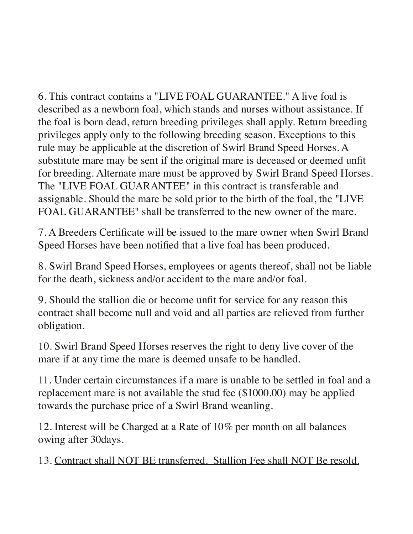6. This contract contains a "LIVE FOAL GUARANTEE." A live foal is described as a newborn foal, which stands and nurses without assistance. If the foal is born dead, return breeding privileges shall apply. Return breeding privileges apply only to the following breeding season. Exceptions to this rule may be applicable at the discretion of Swirl Brand Speed Horses. A substitute mare may be sent if the original mare is deceased or deemed unfit for breeding. Alternate mare must be approved by Swirl Brand Speed Horses. The "LIVE FOAL GUARANTEE" in this contract is transferable and assignable. Should the mare be sold prior to the birth of the foal, the "LIVE FOAL GUARANTEE" shall be transferred to the new owner of the mare.

7. A Breeders Certificate will be issued to the mare owner when Swirl Brand Speed Horses have been notified that a live foal has been produced.

8. Swirl Brand Speed Horses, employees or agents thereof, shall not be liable for the death, sickness and/or accident to the mare and/or foal.

9. Should the stallion die or become unfit for service for any reason this contract shall become null and void and all parties are relieved from further obligation.

10. Swirl Brand Speed Horses reserves the right to deny live cover of the mare if at any time the mare is deemed unsafe to be handled.

11. Under certain circumstances if a mare is unable to be settled in foal and a replacement mare is not available the stud fee (\$1000.00) may be applied towards the purchase price of a Swirl Brand weanling.

12. Interest will be Charged at a Rate of 10% per month on all balances owing after 30days.

13. Contract shall NOT BE transferred. Stallion Fee shall NOT Be resold.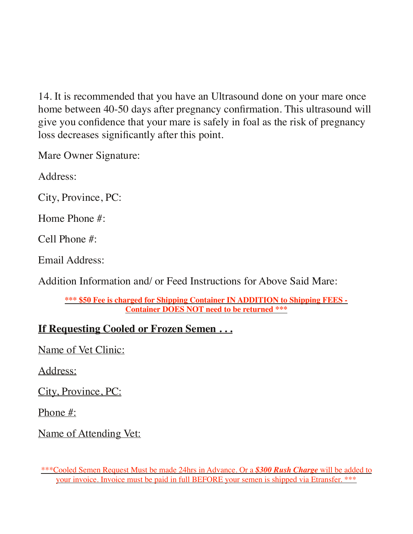14. It is recommended that you have an Ultrasound done on your mare once home between 40-50 days after pregnancy confirmation. This ultrasound will give you confidence that your mare is safely in foal as the risk of pregnancy loss decreases significantly after this point.

Mare Owner Signature:

Address:

City, Province, PC:

Home Phone #:

Cell Phone #:

Email Address:

Addition Information and/ or Feed Instructions for Above Said Mare:

**\*\*\* \$50 Fee is charged for Shipping Container IN ADDITION to Shipping FEES - Container DOES NOT need to be returned \*\*\***

## **If Requesting Cooled or Frozen Semen . . .**

Name of Vet Clinic:

Address:

City, Province, PC:

Phone #:

Name of Attending Vet:

<sup>\*\*\*</sup>Cooled Semen Request Must be made 24hrs in Advance. Or a *\$300 Rush Charge* will be added to your invoice. Invoice must be paid in full BEFORE your semen is shipped via Etransfer. \*\*\*